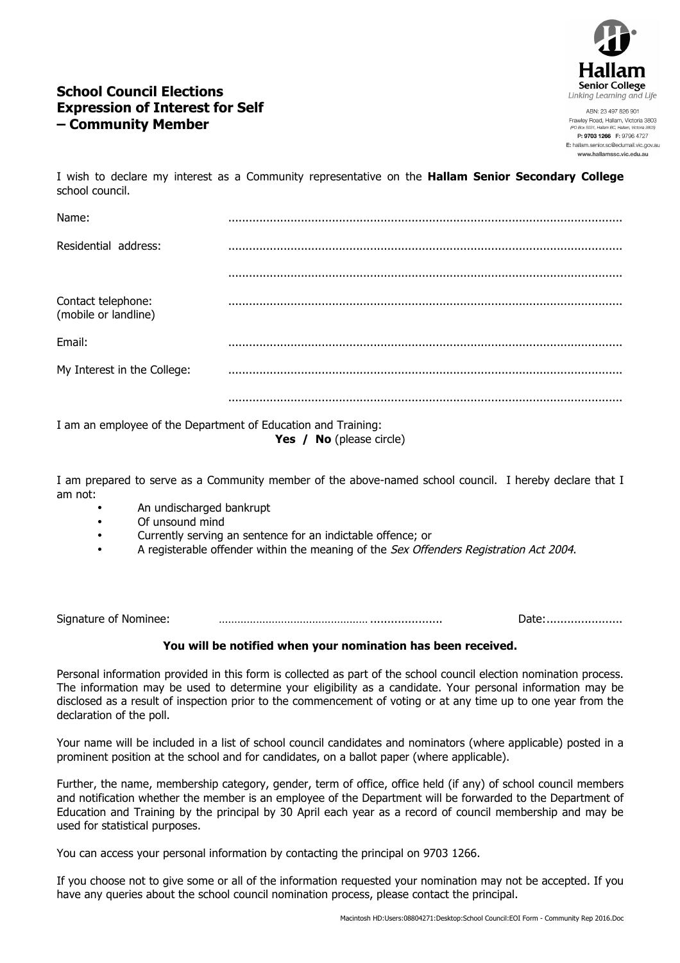

# **School Council Elections Expression of Interest for Self – Community Member**

ABN: 23 497 826 901 Frawley Road, Hallam, Victoria 3803 P: 9703 1266 F: 9796 4727 E: hallam.senior.sc@edumail.vic.gov.au www.hallamssc.vic.edu.au

I wish to declare my interest as a Community representative on the **Hallam Senior Secondary College** school council.

| Name:                                      |  |
|--------------------------------------------|--|
| Residential address:                       |  |
|                                            |  |
| Contact telephone:<br>(mobile or landline) |  |
| Email:                                     |  |
| My Interest in the College:                |  |
|                                            |  |

I am an employee of the Department of Education and Training: **Yes / No** (please circle)

I am prepared to serve as a Community member of the above-named school council. I hereby declare that I am not:

- An undischarged bankrupt
- Of unsound mind
- Currently serving an sentence for an indictable offence; or
- A registerable offender within the meaning of the Sex Offenders Registration Act 2004.

Signature of Nominee: ………………………………………… ..................... Date:......................

### **You will be notified when your nomination has been received.**

Personal information provided in this form is collected as part of the school council election nomination process. The information may be used to determine your eligibility as a candidate. Your personal information may be disclosed as a result of inspection prior to the commencement of voting or at any time up to one year from the declaration of the poll.

Your name will be included in a list of school council candidates and nominators (where applicable) posted in a prominent position at the school and for candidates, on a ballot paper (where applicable).

Further, the name, membership category, gender, term of office, office held (if any) of school council members and notification whether the member is an employee of the Department will be forwarded to the Department of Education and Training by the principal by 30 April each year as a record of council membership and may be used for statistical purposes.

You can access your personal information by contacting the principal on 9703 1266.

If you choose not to give some or all of the information requested your nomination may not be accepted. If you have any queries about the school council nomination process, please contact the principal.